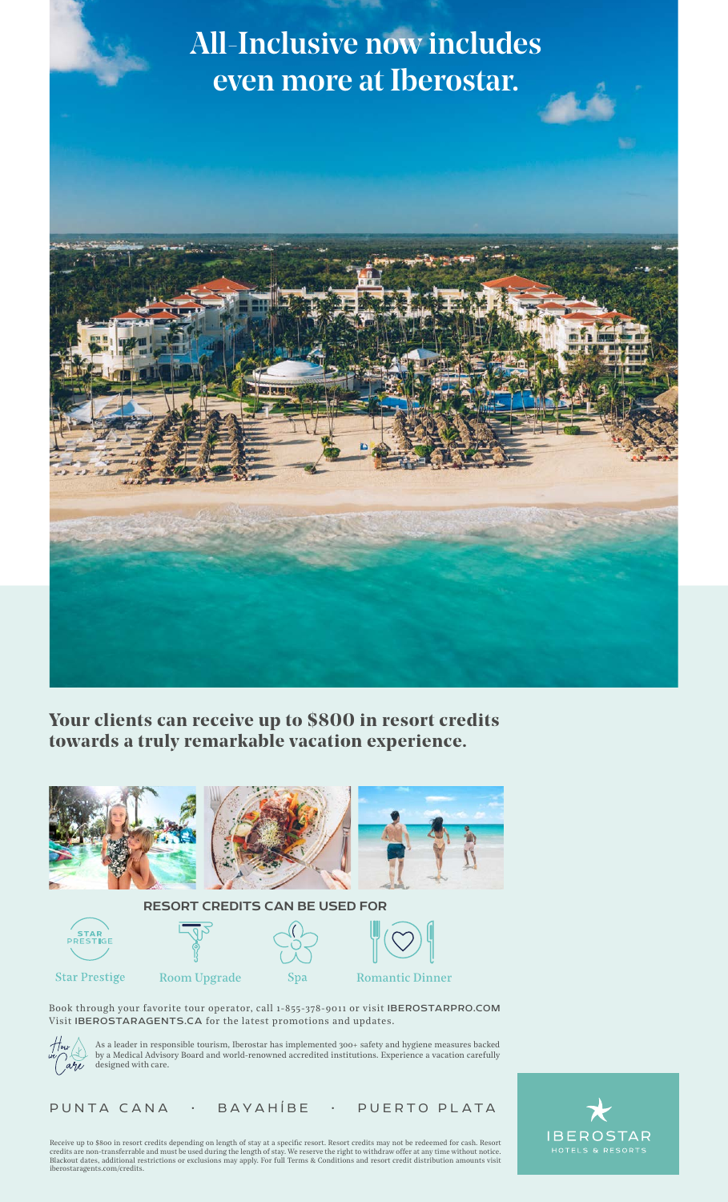## All-Inclusive now includes even more at Iberostar.



**Your clients can receive up to \$800 in resort credits towards a truly remarkable vacation experience.**









**Star Prestige** 



Book through your favorite tour operator, call 1-855-378-9011 or visit IBEROSTARPRO.COM Visit IBEROSTARAGENTS.CA for the latest promotions and updates.



As a leader in responsible tourism, Iberostar has implemented 300+ safety and hygiene measures backed by a Medical Advisory Board and world-renowned accredited institutions. Experience a vacation carefully designed with care.

PUNTA CANA • BAYAHÍBE • PUERTO PLATA

Receive up to \$800 in resort credits depending on length of stay at a specific resort. Resort credits may not be redeemed for cash. Resort<br>credits are non-transferrable and must be used during the length of stay. We reserv iberostaragents.com/credits.